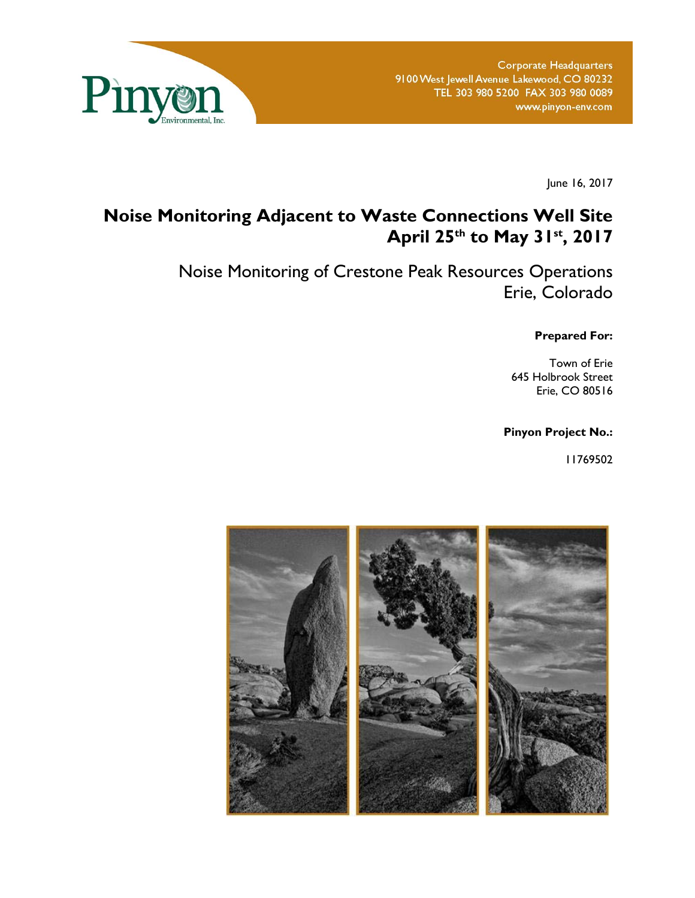

June 16, 2017

# **Noise Monitoring Adjacent to Waste Connections Well Site April 25th to May 31st, 2017**

Noise Monitoring of Crestone Peak Resources Operations Erie, Colorado

**Prepared For:** 

Town of Erie 645 Holbrook Street Erie, CO 80516

**Pinyon Project No.:** 

11769502

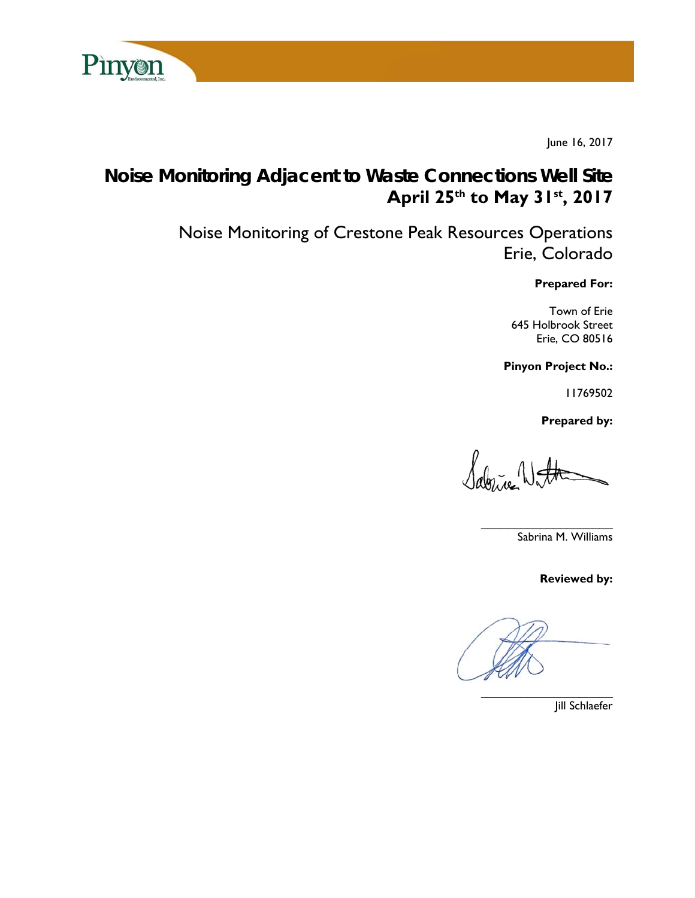

June 16, 2017

# **Noise Monitoring Adjacent to Waste Connections Well Site April 25th to May 31st, 2017**

Noise Monitoring of Crestone Peak Resources Operations Erie, Colorado

**Prepared For:** 

Town of Erie 645 Holbrook Street Erie, CO 80516

**Pinyon Project No.:** 

11769502

 **Prepared by:** 

Sabrice With

 $\overline{\phantom{a}}$ Sabrina M. Williams

**Reviewed by:** 

Jill Schlaefer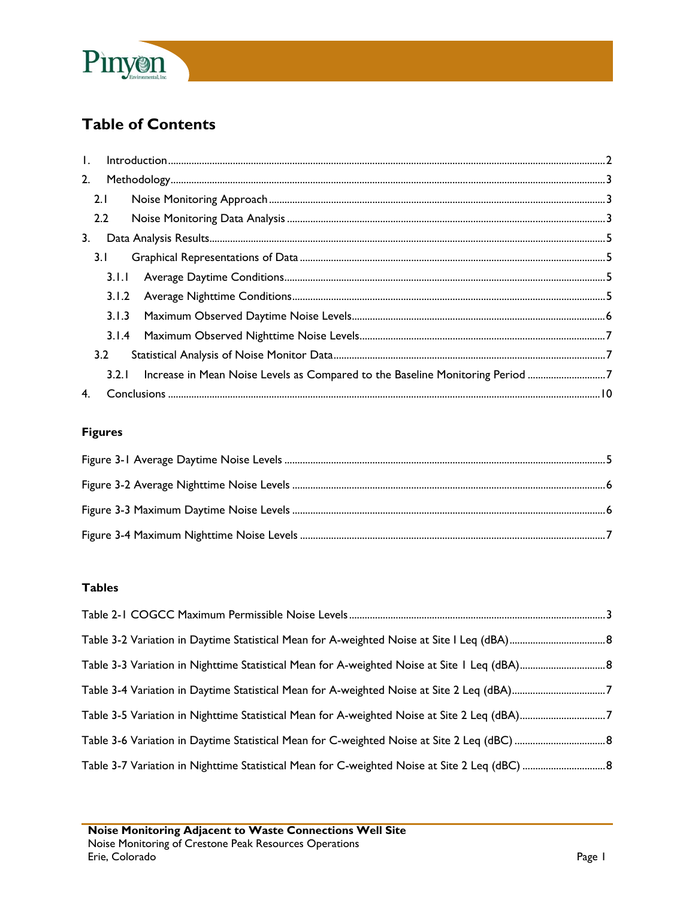

## **Table of Contents**

| $\mathbf{I}$ . |       | $\int_0^{\pi} \frac{1}{2} \int_0^{\pi} \frac{1}{2} \int_0^{\pi} \frac{1}{2} \int_0^{\pi} \frac{1}{2} \int_0^{\pi} \frac{1}{2} \int_0^{\pi} \frac{1}{2} \int_0^{\pi} \frac{1}{2} \int_0^{\pi} \frac{1}{2} \int_0^{\pi} \frac{1}{2} \int_0^{\pi} \frac{1}{2} \int_0^{\pi} \frac{1}{2} \int_0^{\pi} \frac{1}{2} \int_0^{\pi} \frac{1}{2} \int_0^{\pi} \frac{1}{2} \int_0^{\pi} \frac$ |  |
|----------------|-------|------------------------------------------------------------------------------------------------------------------------------------------------------------------------------------------------------------------------------------------------------------------------------------------------------------------------------------------------------------------------------------|--|
| 2.             |       |                                                                                                                                                                                                                                                                                                                                                                                    |  |
|                | 2.1   |                                                                                                                                                                                                                                                                                                                                                                                    |  |
|                | 2.2   |                                                                                                                                                                                                                                                                                                                                                                                    |  |
| 3.             |       |                                                                                                                                                                                                                                                                                                                                                                                    |  |
|                | 3.1   |                                                                                                                                                                                                                                                                                                                                                                                    |  |
|                | 3.1.1 |                                                                                                                                                                                                                                                                                                                                                                                    |  |
|                | 3.1.2 |                                                                                                                                                                                                                                                                                                                                                                                    |  |
|                | 3.1.3 |                                                                                                                                                                                                                                                                                                                                                                                    |  |
|                | 3.1.4 |                                                                                                                                                                                                                                                                                                                                                                                    |  |
|                | 3.2   |                                                                                                                                                                                                                                                                                                                                                                                    |  |
|                | 3.2.1 | Increase in Mean Noise Levels as Compared to the Baseline Monitoring Period 7                                                                                                                                                                                                                                                                                                      |  |
| 4.             |       |                                                                                                                                                                                                                                                                                                                                                                                    |  |

### **Figures**

#### **Tables**

| Table 3-4 Variation in Daytime Statistical Mean for A-weighted Noise at Site 2 Leq (dBA)7   |  |
|---------------------------------------------------------------------------------------------|--|
| Table 3-5 Variation in Nighttime Statistical Mean for A-weighted Noise at Site 2 Leq (dBA)7 |  |
|                                                                                             |  |
|                                                                                             |  |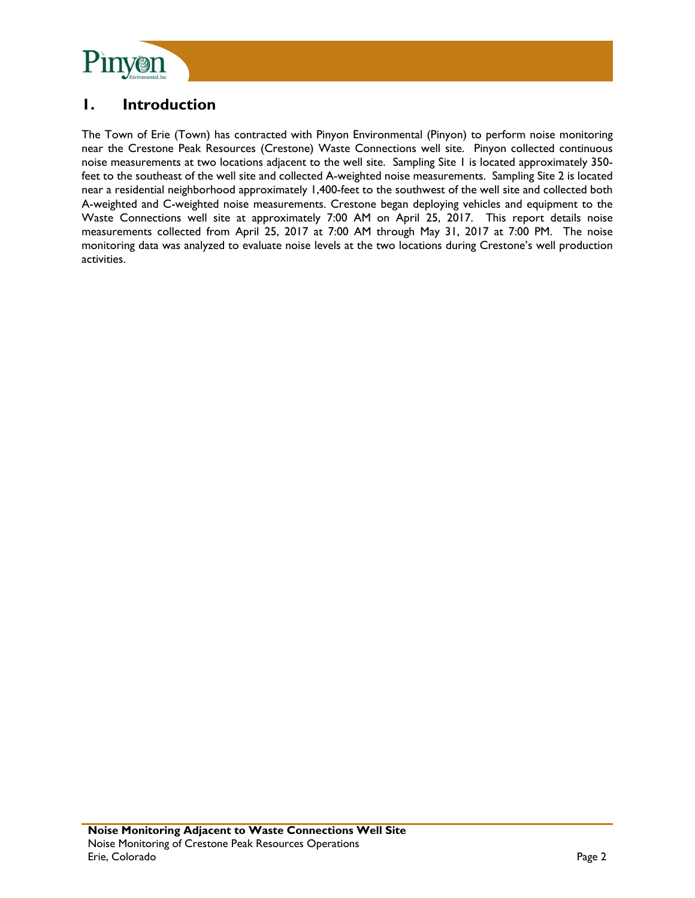

## **1. Introduction**

The Town of Erie (Town) has contracted with Pinyon Environmental (Pinyon) to perform noise monitoring near the Crestone Peak Resources (Crestone) Waste Connections well site. Pinyon collected continuous noise measurements at two locations adjacent to the well site. Sampling Site 1 is located approximately 350 feet to the southeast of the well site and collected A-weighted noise measurements. Sampling Site 2 is located near a residential neighborhood approximately 1,400-feet to the southwest of the well site and collected both A-weighted and C-weighted noise measurements. Crestone began deploying vehicles and equipment to the Waste Connections well site at approximately 7:00 AM on April 25, 2017. This report details noise measurements collected from April 25, 2017 at 7:00 AM through May 31, 2017 at 7:00 PM. The noise monitoring data was analyzed to evaluate noise levels at the two locations during Crestone's well production activities.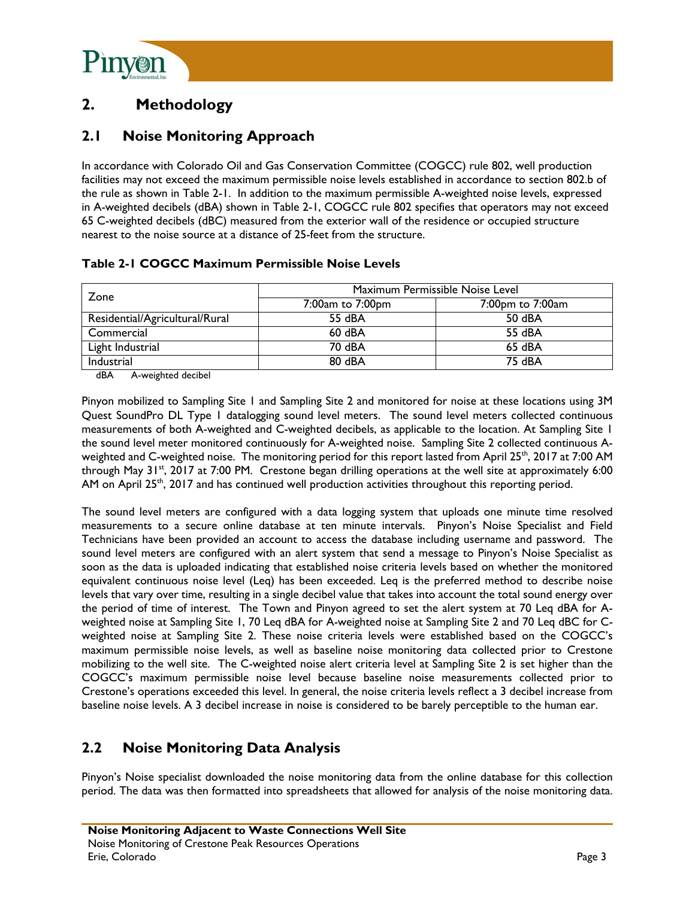

## **2. Methodology**

## **2.1 Noise Monitoring Approach**

In accordance with Colorado Oil and Gas Conservation Committee (COGCC) rule 802, well production facilities may not exceed the maximum permissible noise levels established in accordance to section 802.b of the rule as shown in Table 2-1. In addition to the maximum permissible A-weighted noise levels, expressed in A-weighted decibels (dBA) shown in Table 2-1, COGCC rule 802 specifies that operators may not exceed 65 C-weighted decibels (dBC) measured from the exterior wall of the residence or occupied structure nearest to the noise source at a distance of 25-feet from the structure.

|  |  | Table 2-1 COGCC Maximum Permissible Noise Levels |
|--|--|--------------------------------------------------|
|  |  |                                                  |

| Zone                           | Maximum Permissible Noise Level |                  |  |  |
|--------------------------------|---------------------------------|------------------|--|--|
|                                | 7:00am to 7:00pm                | 7:00pm to 7:00am |  |  |
| Residential/Agricultural/Rural | 55 dBA                          | 50 dBA           |  |  |
| Commercial                     | $60$ dBA                        | 55 dBA           |  |  |
| Light Industrial               | 70 dBA                          | 65 dBA           |  |  |
| Industrial                     | 80 dBA                          | 75 dBA           |  |  |

dBA A-weighted decibel

Pinyon mobilized to Sampling Site 1 and Sampling Site 2 and monitored for noise at these locations using 3M Quest SoundPro DL Type 1 datalogging sound level meters. The sound level meters collected continuous measurements of both A-weighted and C-weighted decibels, as applicable to the location. At Sampling Site 1 the sound level meter monitored continuously for A-weighted noise. Sampling Site 2 collected continuous Aweighted and C-weighted noise. The monitoring period for this report lasted from April 25<sup>th</sup>, 2017 at 7:00 AM through May 31<sup>st</sup>, 2017 at 7:00 PM. Crestone began drilling operations at the well site at approximately 6:00 AM on April  $25<sup>th</sup>$ , 2017 and has continued well production activities throughout this reporting period.

The sound level meters are configured with a data logging system that uploads one minute time resolved measurements to a secure online database at ten minute intervals. Pinyon's Noise Specialist and Field Technicians have been provided an account to access the database including username and password. The sound level meters are configured with an alert system that send a message to Pinyon's Noise Specialist as soon as the data is uploaded indicating that established noise criteria levels based on whether the monitored equivalent continuous noise level (Leq) has been exceeded. Leq is the preferred method to describe noise levels that vary over time, resulting in a single decibel value that takes into account the total sound energy over the period of time of interest. The Town and Pinyon agreed to set the alert system at 70 Leq dBA for Aweighted noise at Sampling Site 1, 70 Leq dBA for A-weighted noise at Sampling Site 2 and 70 Leq dBC for Cweighted noise at Sampling Site 2. These noise criteria levels were established based on the COGCC's maximum permissible noise levels, as well as baseline noise monitoring data collected prior to Crestone mobilizing to the well site. The C-weighted noise alert criteria level at Sampling Site 2 is set higher than the COGCC's maximum permissible noise level because baseline noise measurements collected prior to Crestone's operations exceeded this level. In general, the noise criteria levels reflect a 3 decibel increase from baseline noise levels. A 3 decibel increase in noise is considered to be barely perceptible to the human ear.

## **2.2 Noise Monitoring Data Analysis**

Pinyon's Noise specialist downloaded the noise monitoring data from the online database for this collection period. The data was then formatted into spreadsheets that allowed for analysis of the noise monitoring data.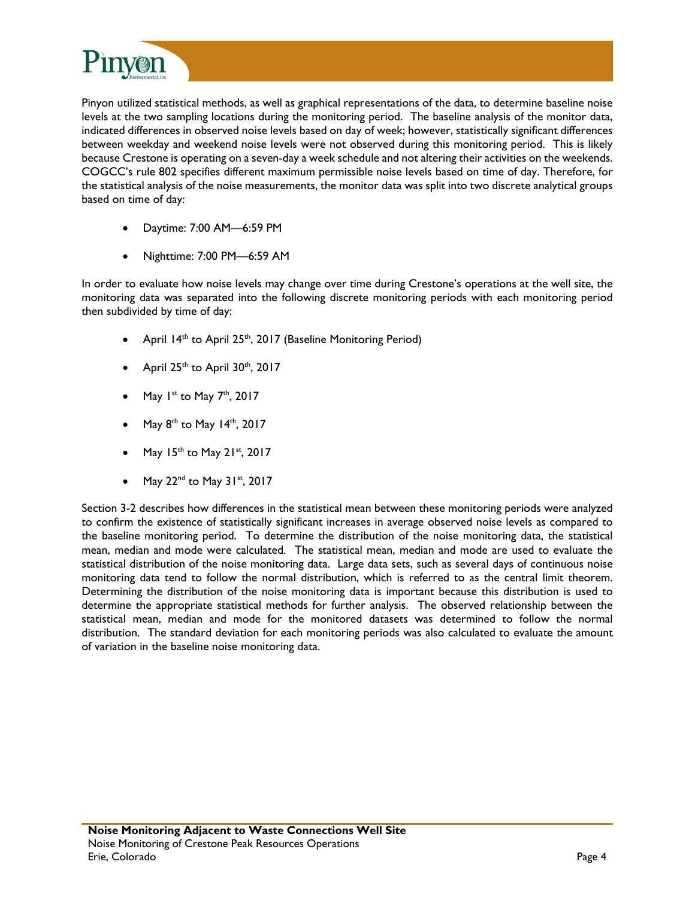

Pinyon utilized statistical methods, as well as graphical representations of the data, to determine baseline noise levels at the two sampling locations during the monitoring period. The baseline analysis of the monitor data, indicated differences in observed noise levels based on day of week; however, statistically significant differences between weekday and weekend noise levels were not observed during this monitoring period. This is likely because Crestone is operating on a seven-day a week schedule and not altering their activities on the weekends. COGCC's rule 802 specifies different maximum permissible noise levels based on time of day. Therefore, for the statistical analysis of the noise measurements, the monitor data was split into two discrete analytical groups based on time of day:

- Daytime: 7:00 AM—6:59 PM
- Nighttime: 7:00 PM—6:59 AM

In order to evaluate how noise levels may change over time during Crestone's operations at the well site, the monitoring data was separated into the following discrete monitoring periods with each monitoring period then subdivided by time of day:

- April  $14<sup>th</sup>$  to April 25<sup>th</sup>, 2017 (Baseline Monitoring Period)
- April  $25<sup>th</sup>$  to April  $30<sup>th</sup>$ ,  $2017$
- May  $1^{st}$  to May  $7^{th}$ , 2017
- May  $8^{th}$  to May 14<sup>th</sup>, 2017
- May  $15^{th}$  to May  $21^{st}$ , 2017
- May  $22^{nd}$  to May  $31^{st}$ ,  $2017$

Section 3-2 describes how differences in the statistical mean between these monitoring periods were analyzed to confirm the existence of statistically significant increases in average observed noise levels as compared to the baseline monitoring period. To determine the distribution of the noise monitoring data, the statistical mean, median and mode were calculated. The statistical mean, median and mode are used to evaluate the statistical distribution of the noise monitoring data. Large data sets, such as several days of continuous noise monitoring data tend to follow the normal distribution, which is referred to as the central limit theorem. Determining the distribution of the noise monitoring data is important because this distribution is used to determine the appropriate statistical methods for further analysis. The observed relationship between the statistical mean, median and mode for the monitored datasets was determined to follow the normal distribution. The standard deviation for each monitoring periods was also calculated to evaluate the amount of variation in the baseline noise monitoring data.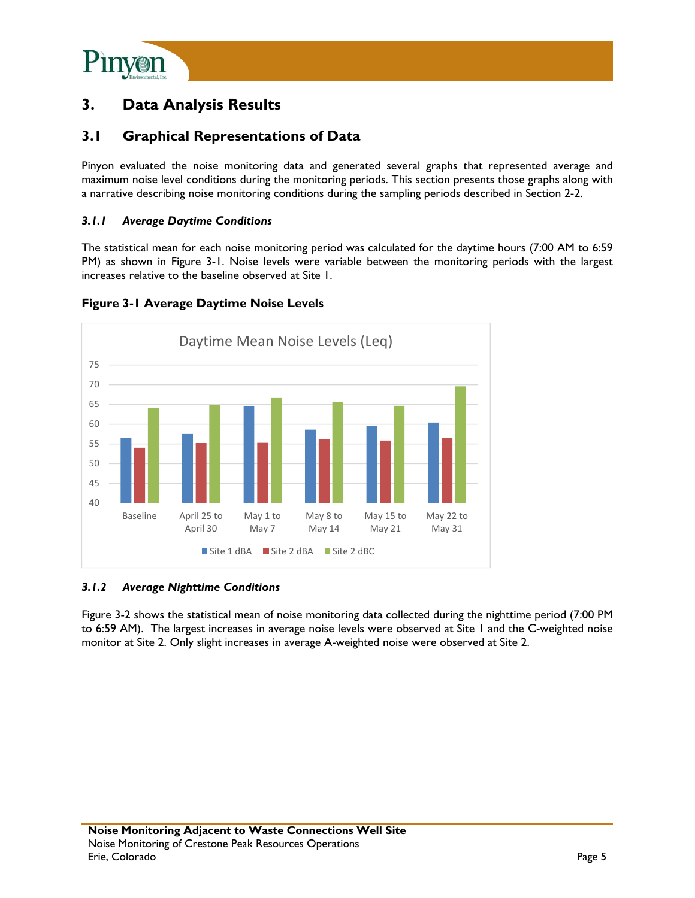

## **3. Data Analysis Results**

### **3.1 Graphical Representations of Data**

Pinyon evaluated the noise monitoring data and generated several graphs that represented average and maximum noise level conditions during the monitoring periods. This section presents those graphs along with a narrative describing noise monitoring conditions during the sampling periods described in Section 2-2.

#### *3.1.1 Average Daytime Conditions*

The statistical mean for each noise monitoring period was calculated for the daytime hours (7:00 AM to 6:59 PM) as shown in Figure 3-1. Noise levels were variable between the monitoring periods with the largest increases relative to the baseline observed at Site 1.



#### **Figure 3-1 Average Daytime Noise Levels**

#### *3.1.2 Average Nighttime Conditions*

Figure 3-2 shows the statistical mean of noise monitoring data collected during the nighttime period (7:00 PM to 6:59 AM). The largest increases in average noise levels were observed at Site 1 and the C-weighted noise monitor at Site 2. Only slight increases in average A-weighted noise were observed at Site 2.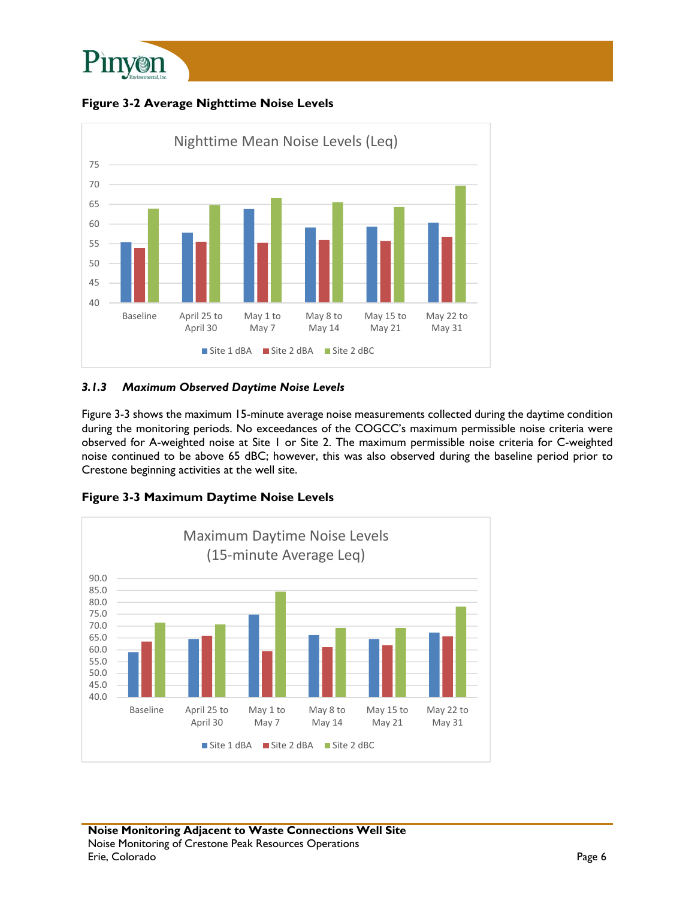

**Figure 3-2 Average Nighttime Noise Levels** 



#### *3.1.3 Maximum Observed Daytime Noise Levels*

Figure 3-3 shows the maximum 15-minute average noise measurements collected during the daytime condition during the monitoring periods. No exceedances of the COGCC's maximum permissible noise criteria were observed for A-weighted noise at Site 1 or Site 2. The maximum permissible noise criteria for C-weighted noise continued to be above 65 dBC; however, this was also observed during the baseline period prior to Crestone beginning activities at the well site.



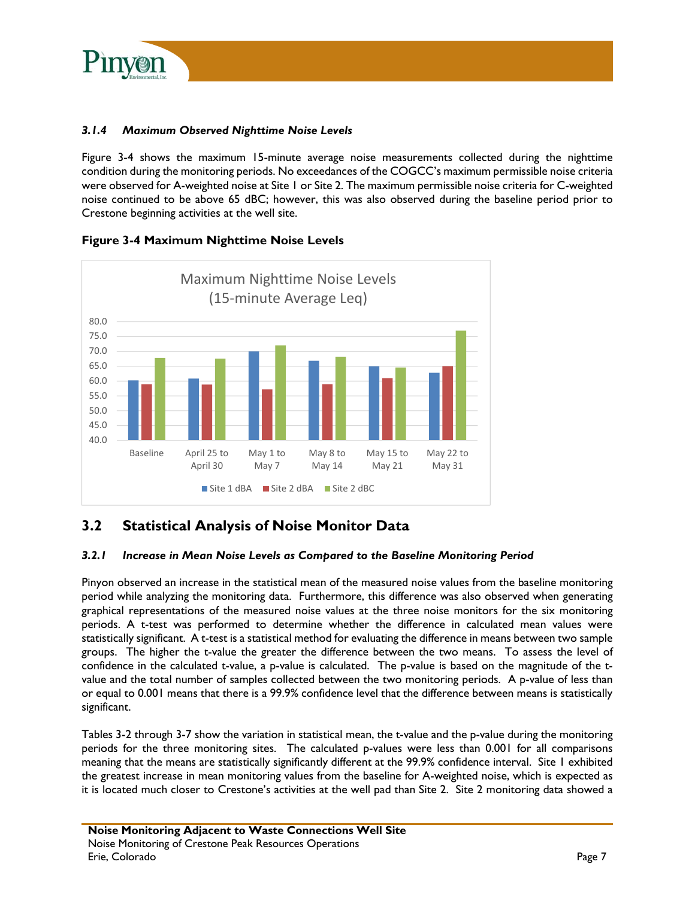

#### *3.1.4 Maximum Observed Nighttime Noise Levels*

Figure 3-4 shows the maximum 15-minute average noise measurements collected during the nighttime condition during the monitoring periods. No exceedances of the COGCC's maximum permissible noise criteria were observed for A-weighted noise at Site 1 or Site 2. The maximum permissible noise criteria for C-weighted noise continued to be above 65 dBC; however, this was also observed during the baseline period prior to Crestone beginning activities at the well site.



**Figure 3-4 Maximum Nighttime Noise Levels** 

## **3.2 Statistical Analysis of Noise Monitor Data**

#### *3.2.1 Increase in Mean Noise Levels as Compared to the Baseline Monitoring Period*

Pinyon observed an increase in the statistical mean of the measured noise values from the baseline monitoring period while analyzing the monitoring data. Furthermore, this difference was also observed when generating graphical representations of the measured noise values at the three noise monitors for the six monitoring periods. A t-test was performed to determine whether the difference in calculated mean values were statistically significant. A t-test is a statistical method for evaluating the difference in means between two sample groups. The higher the t-value the greater the difference between the two means. To assess the level of confidence in the calculated t-value, a p-value is calculated. The p-value is based on the magnitude of the tvalue and the total number of samples collected between the two monitoring periods. A p-value of less than or equal to 0.001 means that there is a 99.9% confidence level that the difference between means is statistically significant.

Tables 3-2 through 3-7 show the variation in statistical mean, the t-value and the p-value during the monitoring periods for the three monitoring sites. The calculated p-values were less than 0.001 for all comparisons meaning that the means are statistically significantly different at the 99.9% confidence interval. Site 1 exhibited the greatest increase in mean monitoring values from the baseline for A-weighted noise, which is expected as it is located much closer to Crestone's activities at the well pad than Site 2. Site 2 monitoring data showed a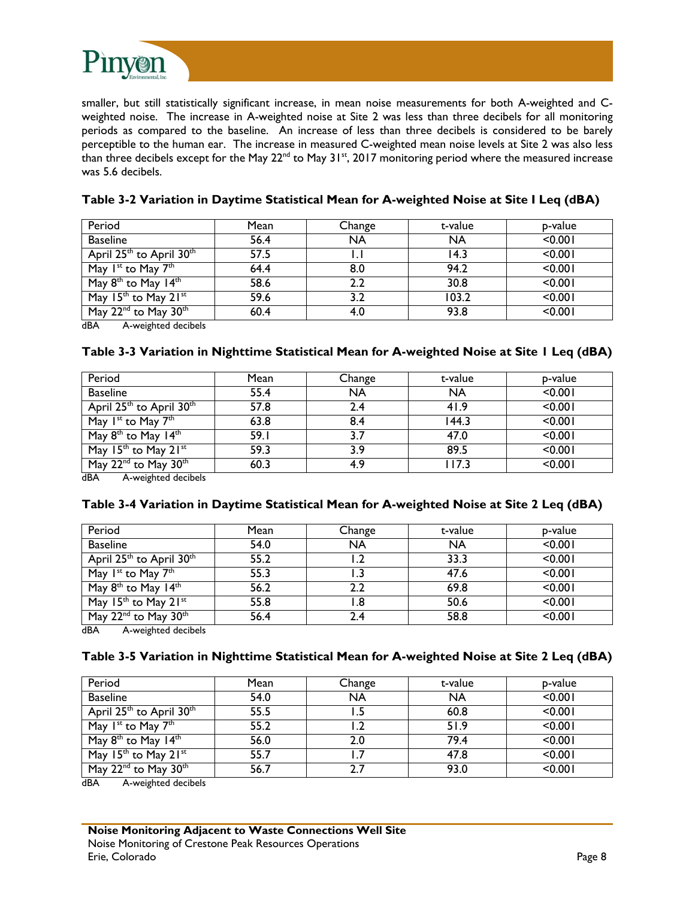

smaller, but still statistically significant increase, in mean noise measurements for both A-weighted and Cweighted noise. The increase in A-weighted noise at Site 2 was less than three decibels for all monitoring periods as compared to the baseline. An increase of less than three decibels is considered to be barely perceptible to the human ear. The increase in measured C-weighted mean noise levels at Site 2 was also less than three decibels except for the May 22<sup>nd</sup> to May 31<sup>st</sup>, 2017 monitoring period where the measured increase was 5.6 decibels.

| Period                                           | Mean | Change    | t-value   | p-value |
|--------------------------------------------------|------|-----------|-----------|---------|
| <b>Baseline</b>                                  | 56.4 | <b>NA</b> | <b>NA</b> | < 0.001 |
| April 25 <sup>th</sup> to April 30 <sup>th</sup> | 57.5 |           | 14.3      | < 0.001 |
| May 1 <sup>st</sup> to May 7 <sup>th</sup>       | 64.4 | 8.0       | 94.2      | < 0.001 |
| May $8th$ to May 14 <sup>th</sup>                | 58.6 | 2.2       | 30.8      | < 0.001 |
| May $15^{th}$ to May $21^{st}$                   | 59.6 | 3.2       | 103.2     | < 0.001 |
| May 22 <sup>nd</sup> to May 30 <sup>th</sup>     | 60.4 | 4.0       | 93.8      | < 0.001 |

#### **Table 3-2 Variation in Daytime Statistical Mean for A-weighted Noise at Site I Leq (dBA)**

dBA A-weighted decibels

#### **Table 3-3 Variation in Nighttime Statistical Mean for A-weighted Noise at Site 1 Leq (dBA)**

| Period                                           | Mean | Change    | t-value   | p-value |
|--------------------------------------------------|------|-----------|-----------|---------|
| <b>Baseline</b>                                  | 55.4 | <b>NA</b> | <b>NA</b> | < 0.001 |
| April 25 <sup>th</sup> to April 30 <sup>th</sup> | 57.8 | 2.4       | 41.9      | < 0.001 |
| May 1 <sup>st</sup> to May 7 <sup>th</sup>       | 63.8 | 8.4       | 144.3     | < 0.001 |
| May 8 <sup>th</sup> to May 14 <sup>th</sup>      | 59.I | 3.7       | 47.0      | < 0.001 |
| May $15th$ to May $21st$                         | 59.3 | 3.9       | 89.5      | < 0.001 |
| May $22^{\text{nd}}$ to May $30^{\text{th}}$     | 60.3 | 4.9       | I I 7.3   | < 0.001 |

dBA A-weighted decibels

#### **Table 3-4 Variation in Daytime Statistical Mean for A-weighted Noise at Site 2 Leq (dBA)**

| Period                                           | Mean | Change    | t-value   | p-value |
|--------------------------------------------------|------|-----------|-----------|---------|
| <b>Baseline</b>                                  | 54.0 | <b>NA</b> | <b>NA</b> | < 0.001 |
| April 25 <sup>th</sup> to April 30 <sup>th</sup> | 55.2 |           | 33.3      | < 0.001 |
| May 1 <sup>st</sup> to May 7 <sup>th</sup>       | 55.3 |           | 47.6      | < 0.001 |
| May 8 <sup>th</sup> to May 14 <sup>th</sup>      | 56.2 | 2.2       | 69.8      | < 0.001 |
| May 15 <sup>th</sup> to May 21st                 | 55.8 | .8        | 50.6      | < 0.001 |
| May 22 <sup>nd</sup> to May 30 <sup>th</sup>     | 56.4 | 2.4       | 58.8      | < 0.001 |

dBA A-weighted decibels

#### **Table 3-5 Variation in Nighttime Statistical Mean for A-weighted Noise at Site 2 Leq (dBA)**

| Period                                           | Mean | Change    | t-value   | p-value |
|--------------------------------------------------|------|-----------|-----------|---------|
| <b>Baseline</b>                                  | 54.0 | <b>NA</b> | <b>NA</b> | < 0.001 |
| April 25 <sup>th</sup> to April 30 <sup>th</sup> | 55.5 |           | 60.8      | < 0.001 |
| May 1 <sup>st</sup> to May 7 <sup>th</sup>       | 55.2 |           | 51.9      | < 0.001 |
| May 8 <sup>th</sup> to May 14 <sup>th</sup>      | 56.0 | 2.0       | 79.4      | < 0.001 |
| May $15th$ to May $21st$                         | 55.7 |           | 47.8      | < 0.001 |
| May 22 <sup>nd</sup> to May 30 <sup>th</sup>     | 56.7 |           | 93.0      | < 0.001 |

dBA A-weighted decibels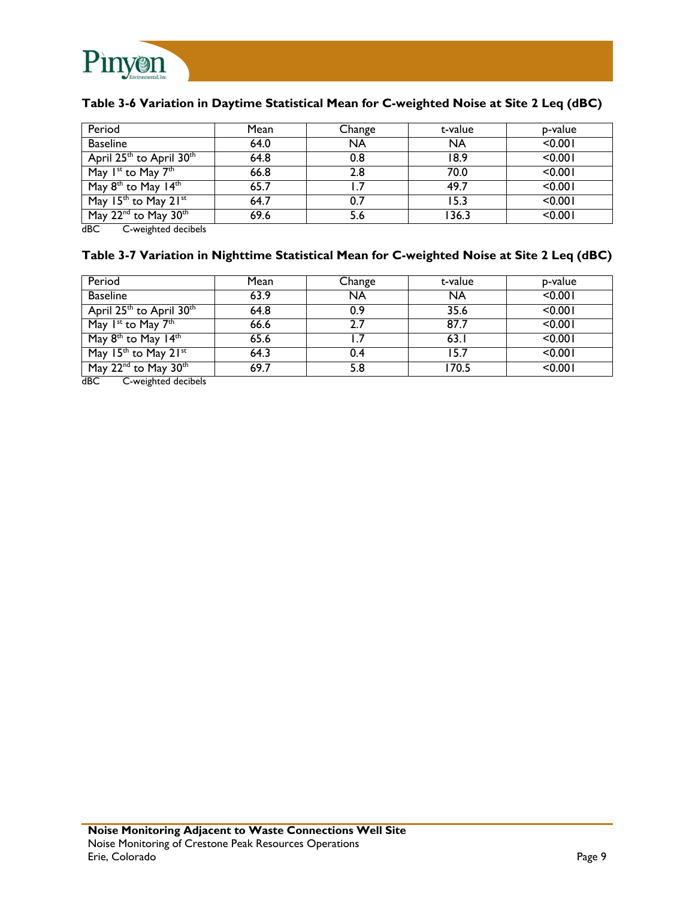

### **Table 3-6 Variation in Daytime Statistical Mean for C-weighted Noise at Site 2 Leq (dBC)**

| Period                                                                                                  | Mean | Change    | t-value   | p-value |
|---------------------------------------------------------------------------------------------------------|------|-----------|-----------|---------|
| <b>Baseline</b>                                                                                         | 64.0 | <b>NA</b> | <b>NA</b> | < 0.001 |
| April 25 <sup>th</sup> to April 30 <sup>th</sup>                                                        | 64.8 | 0.8       | 18.9      | < 0.001 |
| May 1 <sup>st</sup> to May 7 <sup>th</sup>                                                              | 66.8 | 2.8       | 70.0      | < 0.001 |
| May 8 <sup>th</sup> to May 14 <sup>th</sup>                                                             | 65.7 |           | 49.7      | < 0.001 |
| May 15th to May 21st                                                                                    | 64.7 | 0.7       | 15.3      | < 0.001 |
| May 22 <sup>nd</sup> to May 30 <sup>th</sup><br>$\sim$ $\sim$ $\sim$ $\sim$ $\sim$ $\sim$ $\sim$ $\sim$ | 69.6 | 5.6       | 136.3     | < 0.001 |

dBC C-weighted decibels

#### **Table 3-7 Variation in Nighttime Statistical Mean for C-weighted Noise at Site 2 Leq (dBC)**

| Period                                           | Mean | Change | t-value   | p-value |
|--------------------------------------------------|------|--------|-----------|---------|
| <b>Baseline</b>                                  | 63.9 | NA     | <b>NA</b> | < 0.001 |
| April 25 <sup>th</sup> to April 30 <sup>th</sup> | 64.8 | 0.9    | 35.6      | < 0.001 |
| May $I^{st}$ to May $7^{th}$                     | 66.6 | 2.7    | 87.7      | < 0.001 |
| May 8 <sup>th</sup> to May 14 <sup>th</sup>      | 65.6 |        | 63.1      | < 0.001 |
| May 15th to May 21st                             | 64.3 | 0.4    | 15.7      | < 0.001 |
| May 22 <sup>nd</sup> to May 30 <sup>th</sup>     | 69.7 | 5.8    | 170.5     | < 0.001 |

dBC C-weighted decibels